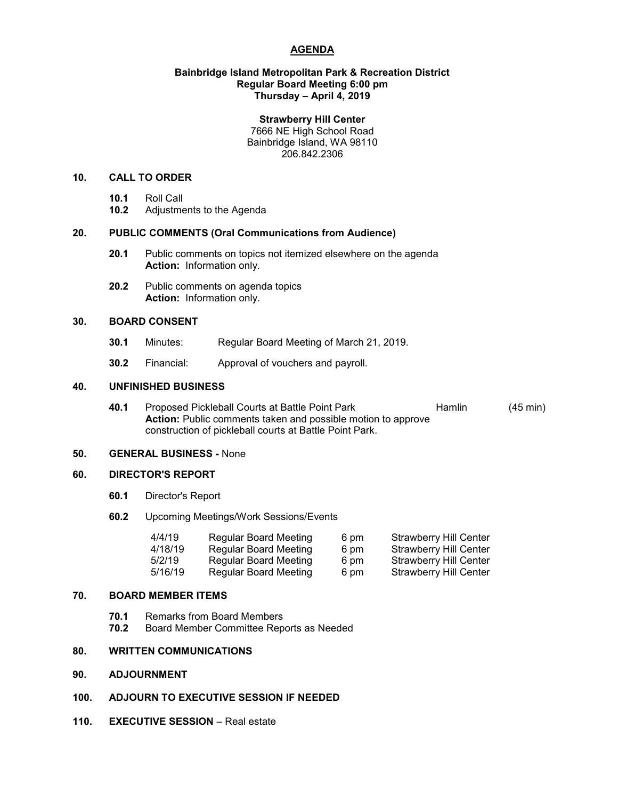# **AGENDA**

## **Bainbridge Island Metropolitan Park & Recreation District Regular Board Meeting 6:00 pm Thursday – April 4, 2019**

#### **Strawberry Hill Center**

7666 NE High School Road Bainbridge Island, WA 98110 206.842.2306

# **10. CALL TO ORDER**

- **10.1** Roll Call
- **10.2** Adjustments to the Agenda

# **20. PUBLIC COMMENTS (Oral Communications from Audience)**

- **20.1** Public comments on topics not itemized elsewhere on the agenda **Action:** Information only.
- **20.2** Public comments on agenda topics **Action:** Information only.

## **30. BOARD CONSENT**

- **30.1** Minutes: Regular Board Meeting of March 21, 2019.
- **30.2** Financial: Approval of vouchers and payroll.

## **40. UNFINISHED BUSINESS**

**40.1** Proposed Pickleball Courts at Battle Point Park **Hamlin** (45 min) **Action:** Public comments taken and possible motion to approve construction of pickleball courts at Battle Point Park.

## **50. GENERAL BUSINESS -** None

## **60. DIRECTOR'S REPORT**

- **60.1** Director's Report
- **60.2** Upcoming Meetings/Work Sessions/Events

| 4/4/19  | <b>Regular Board Meeting</b> | 6 pm | <b>Strawberry Hill Center</b> |
|---------|------------------------------|------|-------------------------------|
| 4/18/19 | <b>Regular Board Meeting</b> | 6 pm | <b>Strawberry Hill Center</b> |
| 5/2/19  | <b>Regular Board Meeting</b> | 6 pm | <b>Strawberry Hill Center</b> |
| 5/16/19 | Regular Board Meeting        | 6 pm | <b>Strawberry Hill Center</b> |

# **70. BOARD MEMBER ITEMS**

- **70.1** Remarks from Board Members
- **70.2** Board Member Committee Reports as Needed

# **80. WRITTEN COMMUNICATIONS**

**90. ADJOURNMENT**

# **100. ADJOURN TO EXECUTIVE SESSION IF NEEDED**

**110. EXECUTIVE SESSION** – Real estate